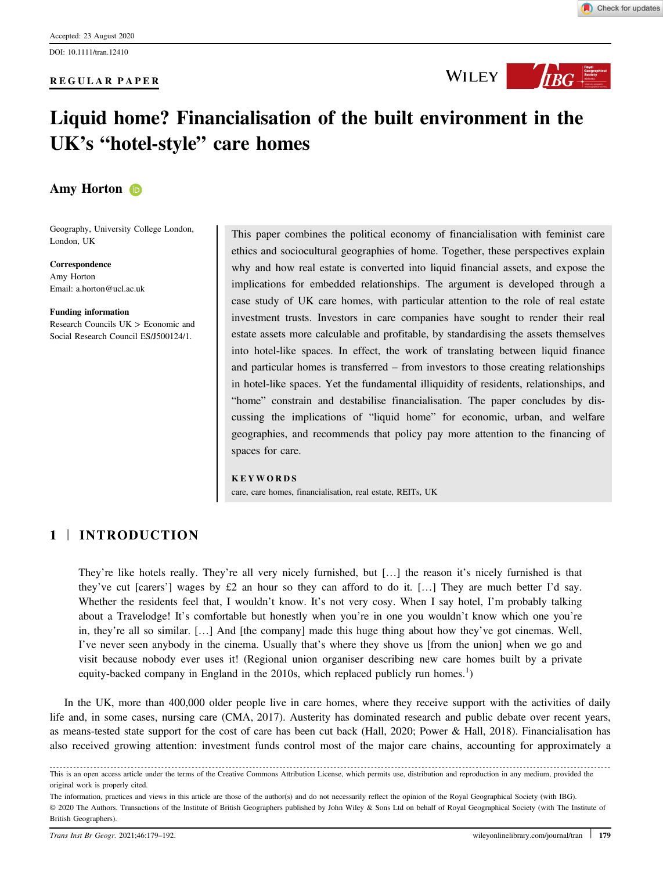#### REGULAR PAPER



WILEY **WILEY** 

# Liquid home? Financialisation of the built environment in the UK's "hotel‐style" care homes

# Amy Horto[n](https://orcid.org/0000-0001-5798-9620) **D**

Geography, University College London, London, UK

Correspondence Amy Horton Email: [a.horton@ucl.ac.uk](mailto:)

Funding information Research Councils UK > Economic and Social Research Council ES/J500124/1.

This paper combines the political economy of financialisation with feminist care ethics and sociocultural geographies of home. Together, these perspectives explain why and how real estate is converted into liquid financial assets, and expose the implications for embedded relationships. The argument is developed through a case study of UK care homes, with particular attention to the role of real estate investment trusts. Investors in care companies have sought to render their real estate assets more calculable and profitable, by standardising the assets themselves into hotel‐like spaces. In effect, the work of translating between liquid finance and particular homes is transferred – from investors to those creating relationships in hotel‐like spaces. Yet the fundamental illiquidity of residents, relationships, and "home" constrain and destabilise financialisation. The paper concludes by discussing the implications of "liquid home" for economic, urban, and welfare geographies, and recommends that policy pay more attention to the financing of spaces for care.

#### KEYWORDS

care, care homes, financialisation, real estate, REITs, UK

# 1 | INTRODUCTION

They're like hotels really. They're all very nicely furnished, but […] the reason it's nicely furnished is that they've cut [carers'] wages by £2 an hour so they can afford to do it. […] They are much better I'd say. Whether the residents feel that, I wouldn't know. It's not very cosy. When I say hotel, I'm probably talking about a Travelodge! It's comfortable but honestly when you're in one you wouldn't know which one you're in, they're all so similar. […] And [the company] made this huge thing about how they've got cinemas. Well, I've never seen anybody in the cinema. Usually that's where they shove us [from the union] when we go and visit because nobody ever uses it! (Regional union organiser describing new care homes built by a private equity-backed company in England in the 2010s, which replaced publicly run homes.<sup>1</sup>)

In the UK, more than 400,000 older people live in care homes, where they receive support with the activities of daily life and, in some cases, nursing care (CMA, 2017). Austerity has dominated research and public debate over recent years, as means-tested state support for the cost of care has been cut back (Hall, 2020; Power & Hall, 2018). Financialisation has also received growing attention: investment funds control most of the major care chains, accounting for approximately a

This is an open access article under the terms of the [Creative Commons Attribution](http://creativecommons.org/licenses/by/4.0/) License, which permits use, distribution and reproduction in any medium, provided the original work is properly cited.

The information, practices and views in this article are those of the author(s) and do not necessarily reflect the opinion of the Royal Geographical Society (with IBG). © 2020 The Authors. Transactions of the Institute of British Geographers published by John Wiley & Sons Ltd on behalf of Royal Geographical Society (with The Institute of British Geographers).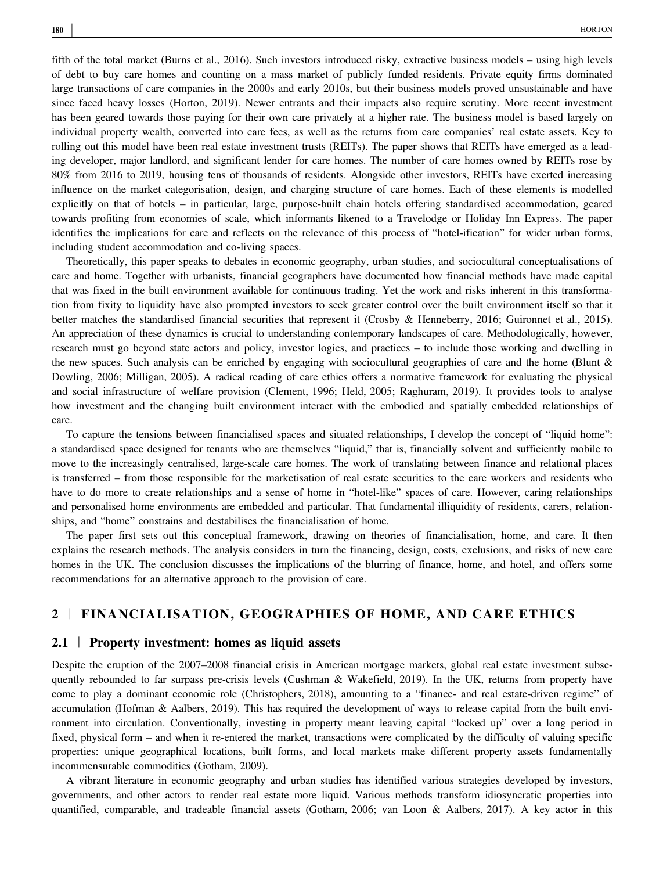fifth of the total market (Burns et al., 2016). Such investors introduced risky, extractive business models – using high levels of debt to buy care homes and counting on a mass market of publicly funded residents. Private equity firms dominated large transactions of care companies in the 2000s and early 2010s, but their business models proved unsustainable and have since faced heavy losses (Horton, 2019). Newer entrants and their impacts also require scrutiny. More recent investment has been geared towards those paying for their own care privately at a higher rate. The business model is based largely on individual property wealth, converted into care fees, as well as the returns from care companies' real estate assets. Key to rolling out this model have been real estate investment trusts (REITs). The paper shows that REITs have emerged as a leading developer, major landlord, and significant lender for care homes. The number of care homes owned by REITs rose by 80% from 2016 to 2019, housing tens of thousands of residents. Alongside other investors, REITs have exerted increasing influence on the market categorisation, design, and charging structure of care homes. Each of these elements is modelled explicitly on that of hotels – in particular, large, purpose-built chain hotels offering standardised accommodation, geared towards profiting from economies of scale, which informants likened to a Travelodge or Holiday Inn Express. The paper identifies the implications for care and reflects on the relevance of this process of "hotel‐ification" for wider urban forms, including student accommodation and co-living spaces.

Theoretically, this paper speaks to debates in economic geography, urban studies, and sociocultural conceptualisations of care and home. Together with urbanists, financial geographers have documented how financial methods have made capital that was fixed in the built environment available for continuous trading. Yet the work and risks inherent in this transformation from fixity to liquidity have also prompted investors to seek greater control over the built environment itself so that it better matches the standardised financial securities that represent it (Crosby & Henneberry, 2016; Guironnet et al., 2015). An appreciation of these dynamics is crucial to understanding contemporary landscapes of care. Methodologically, however, research must go beyond state actors and policy, investor logics, and practices – to include those working and dwelling in the new spaces. Such analysis can be enriched by engaging with sociocultural geographies of care and the home (Blunt & Dowling, 2006; Milligan, 2005). A radical reading of care ethics offers a normative framework for evaluating the physical and social infrastructure of welfare provision (Clement, 1996; Held, 2005; Raghuram, 2019). It provides tools to analyse how investment and the changing built environment interact with the embodied and spatially embedded relationships of care.

To capture the tensions between financialised spaces and situated relationships, I develop the concept of "liquid home": a standardised space designed for tenants who are themselves "liquid," that is, financially solvent and sufficiently mobile to move to the increasingly centralised, large-scale care homes. The work of translating between finance and relational places is transferred – from those responsible for the marketisation of real estate securities to the care workers and residents who have to do more to create relationships and a sense of home in "hotel-like" spaces of care. However, caring relationships and personalised home environments are embedded and particular. That fundamental illiquidity of residents, carers, relationships, and "home" constrains and destabilises the financialisation of home.

The paper first sets out this conceptual framework, drawing on theories of financialisation, home, and care. It then explains the research methods. The analysis considers in turn the financing, design, costs, exclusions, and risks of new care homes in the UK. The conclusion discusses the implications of the blurring of finance, home, and hotel, and offers some recommendations for an alternative approach to the provision of care.

# 2 | FINANCIALISATION, GEOGRAPHIES OF HOME, AND CARE ETHICS

#### 2.1 | Property investment: homes as liquid assets

Despite the eruption of the 2007–2008 financial crisis in American mortgage markets, global real estate investment subsequently rebounded to far surpass pre-crisis levels (Cushman & Wakefield, 2019). In the UK, returns from property have come to play a dominant economic role (Christophers, 2018), amounting to a "finance- and real estate-driven regime" of accumulation (Hofman & Aalbers, 2019). This has required the development of ways to release capital from the built environment into circulation. Conventionally, investing in property meant leaving capital "locked up" over a long period in fixed, physical form – and when it re-entered the market, transactions were complicated by the difficulty of valuing specific properties: unique geographical locations, built forms, and local markets make different property assets fundamentally incommensurable commodities (Gotham, 2009).

A vibrant literature in economic geography and urban studies has identified various strategies developed by investors, governments, and other actors to render real estate more liquid. Various methods transform idiosyncratic properties into quantified, comparable, and tradeable financial assets (Gotham, 2006; van Loon & Aalbers, 2017). A key actor in this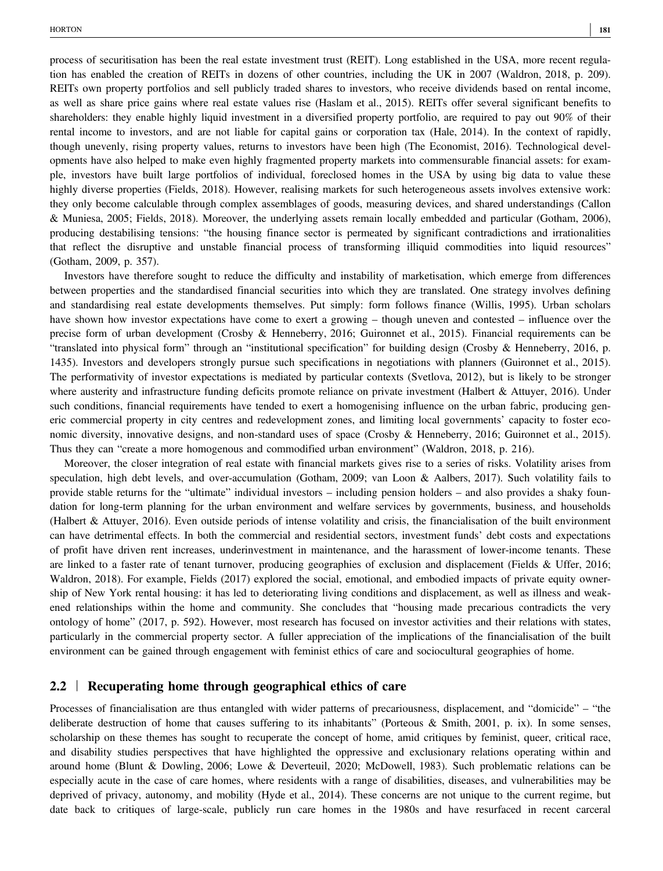process of securitisation has been the real estate investment trust (REIT). Long established in the USA, more recent regulation has enabled the creation of REITs in dozens of other countries, including the UK in 2007 (Waldron, 2018, p. 209). REITs own property portfolios and sell publicly traded shares to investors, who receive dividends based on rental income, as well as share price gains where real estate values rise (Haslam et al., 2015). REITs offer several significant benefits to shareholders: they enable highly liquid investment in a diversified property portfolio, are required to pay out 90% of their rental income to investors, and are not liable for capital gains or corporation tax (Hale, 2014). In the context of rapidly, though unevenly, rising property values, returns to investors have been high (The Economist, 2016). Technological developments have also helped to make even highly fragmented property markets into commensurable financial assets: for example, investors have built large portfolios of individual, foreclosed homes in the USA by using big data to value these highly diverse properties (Fields, 2018). However, realising markets for such heterogeneous assets involves extensive work: they only become calculable through complex assemblages of goods, measuring devices, and shared understandings (Callon & Muniesa, 2005; Fields, 2018). Moreover, the underlying assets remain locally embedded and particular (Gotham, 2006), producing destabilising tensions: "the housing finance sector is permeated by significant contradictions and irrationalities that reflect the disruptive and unstable financial process of transforming illiquid commodities into liquid resources" (Gotham, 2009, p. 357).

Investors have therefore sought to reduce the difficulty and instability of marketisation, which emerge from differences between properties and the standardised financial securities into which they are translated. One strategy involves defining and standardising real estate developments themselves. Put simply: form follows finance (Willis, 1995). Urban scholars have shown how investor expectations have come to exert a growing – though uneven and contested – influence over the precise form of urban development (Crosby & Henneberry, 2016; Guironnet et al., 2015). Financial requirements can be "translated into physical form" through an "institutional specification" for building design (Crosby & Henneberry, 2016, p. 1435). Investors and developers strongly pursue such specifications in negotiations with planners (Guironnet et al., 2015). The performativity of investor expectations is mediated by particular contexts (Svetlova, 2012), but is likely to be stronger where austerity and infrastructure funding deficits promote reliance on private investment (Halbert & Attuyer, 2016). Under such conditions, financial requirements have tended to exert a homogenising influence on the urban fabric, producing generic commercial property in city centres and redevelopment zones, and limiting local governments' capacity to foster economic diversity, innovative designs, and non-standard uses of space (Crosby & Henneberry, 2016; Guironnet et al., 2015). Thus they can "create a more homogenous and commodified urban environment" (Waldron, 2018, p. 216).

Moreover, the closer integration of real estate with financial markets gives rise to a series of risks. Volatility arises from speculation, high debt levels, and over-accumulation (Gotham, 2009; van Loon & Aalbers, 2017). Such volatility fails to provide stable returns for the "ultimate" individual investors – including pension holders – and also provides a shaky foundation for long-term planning for the urban environment and welfare services by governments, business, and households (Halbert & Attuyer, 2016). Even outside periods of intense volatility and crisis, the financialisation of the built environment can have detrimental effects. In both the commercial and residential sectors, investment funds' debt costs and expectations of profit have driven rent increases, underinvestment in maintenance, and the harassment of lower‐income tenants. These are linked to a faster rate of tenant turnover, producing geographies of exclusion and displacement (Fields & Uffer, 2016; Waldron, 2018). For example, Fields (2017) explored the social, emotional, and embodied impacts of private equity ownership of New York rental housing: it has led to deteriorating living conditions and displacement, as well as illness and weakened relationships within the home and community. She concludes that "housing made precarious contradicts the very ontology of home" (2017, p. 592). However, most research has focused on investor activities and their relations with states, particularly in the commercial property sector. A fuller appreciation of the implications of the financialisation of the built environment can be gained through engagement with feminist ethics of care and sociocultural geographies of home.

#### 2.2 | Recuperating home through geographical ethics of care

Processes of financialisation are thus entangled with wider patterns of precariousness, displacement, and "domicide" – "the deliberate destruction of home that causes suffering to its inhabitants" (Porteous & Smith, 2001, p. ix). In some senses, scholarship on these themes has sought to recuperate the concept of home, amid critiques by feminist, queer, critical race, and disability studies perspectives that have highlighted the oppressive and exclusionary relations operating within and around home (Blunt & Dowling, 2006; Lowe & Deverteuil, 2020; McDowell, 1983). Such problematic relations can be especially acute in the case of care homes, where residents with a range of disabilities, diseases, and vulnerabilities may be deprived of privacy, autonomy, and mobility (Hyde et al., 2014). These concerns are not unique to the current regime, but date back to critiques of large‐scale, publicly run care homes in the 1980s and have resurfaced in recent carceral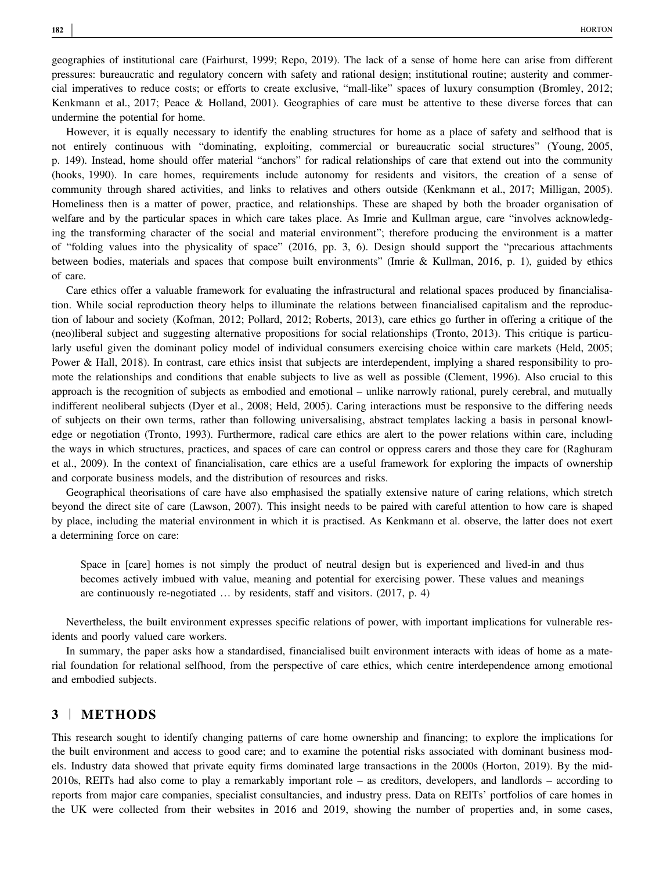geographies of institutional care (Fairhurst, 1999; Repo, 2019). The lack of a sense of home here can arise from different pressures: bureaucratic and regulatory concern with safety and rational design; institutional routine; austerity and commercial imperatives to reduce costs; or efforts to create exclusive, "mall‐like" spaces of luxury consumption (Bromley, 2012; Kenkmann et al., 2017; Peace & Holland, 2001). Geographies of care must be attentive to these diverse forces that can undermine the potential for home.

However, it is equally necessary to identify the enabling structures for home as a place of safety and selfhood that is not entirely continuous with "dominating, exploiting, commercial or bureaucratic social structures" (Young, 2005, p. 149). Instead, home should offer material "anchors" for radical relationships of care that extend out into the community (hooks, 1990). In care homes, requirements include autonomy for residents and visitors, the creation of a sense of community through shared activities, and links to relatives and others outside (Kenkmann et al., 2017; Milligan, 2005). Homeliness then is a matter of power, practice, and relationships. These are shaped by both the broader organisation of welfare and by the particular spaces in which care takes place. As Imrie and Kullman argue, care "involves acknowledging the transforming character of the social and material environment"; therefore producing the environment is a matter of "folding values into the physicality of space" (2016, pp. 3, 6). Design should support the "precarious attachments between bodies, materials and spaces that compose built environments" (Imrie & Kullman, 2016, p. 1), guided by ethics of care.

Care ethics offer a valuable framework for evaluating the infrastructural and relational spaces produced by financialisation. While social reproduction theory helps to illuminate the relations between financialised capitalism and the reproduction of labour and society (Kofman, 2012; Pollard, 2012; Roberts, 2013), care ethics go further in offering a critique of the (neo)liberal subject and suggesting alternative propositions for social relationships (Tronto, 2013). This critique is particularly useful given the dominant policy model of individual consumers exercising choice within care markets (Held, 2005; Power & Hall, 2018). In contrast, care ethics insist that subjects are interdependent, implying a shared responsibility to promote the relationships and conditions that enable subjects to live as well as possible (Clement, 1996). Also crucial to this approach is the recognition of subjects as embodied and emotional – unlike narrowly rational, purely cerebral, and mutually indifferent neoliberal subjects (Dyer et al., 2008; Held, 2005). Caring interactions must be responsive to the differing needs of subjects on their own terms, rather than following universalising, abstract templates lacking a basis in personal knowledge or negotiation (Tronto, 1993). Furthermore, radical care ethics are alert to the power relations within care, including the ways in which structures, practices, and spaces of care can control or oppress carers and those they care for (Raghuram et al., 2009). In the context of financialisation, care ethics are a useful framework for exploring the impacts of ownership and corporate business models, and the distribution of resources and risks.

Geographical theorisations of care have also emphasised the spatially extensive nature of caring relations, which stretch beyond the direct site of care (Lawson, 2007). This insight needs to be paired with careful attention to how care is shaped by place, including the material environment in which it is practised. As Kenkmann et al. observe, the latter does not exert a determining force on care:

Space in [care] homes is not simply the product of neutral design but is experienced and lived-in and thus becomes actively imbued with value, meaning and potential for exercising power. These values and meanings are continuously re-negotiated ... by residents, staff and visitors. (2017, p. 4)

Nevertheless, the built environment expresses specific relations of power, with important implications for vulnerable residents and poorly valued care workers.

In summary, the paper asks how a standardised, financialised built environment interacts with ideas of home as a material foundation for relational selfhood, from the perspective of care ethics, which centre interdependence among emotional and embodied subjects.

# 3 | METHODS

This research sought to identify changing patterns of care home ownership and financing; to explore the implications for the built environment and access to good care; and to examine the potential risks associated with dominant business models. Industry data showed that private equity firms dominated large transactions in the 2000s (Horton, 2019). By the mid‐ 2010s, REITs had also come to play a remarkably important role – as creditors, developers, and landlords – according to reports from major care companies, specialist consultancies, and industry press. Data on REITs' portfolios of care homes in the UK were collected from their websites in 2016 and 2019, showing the number of properties and, in some cases,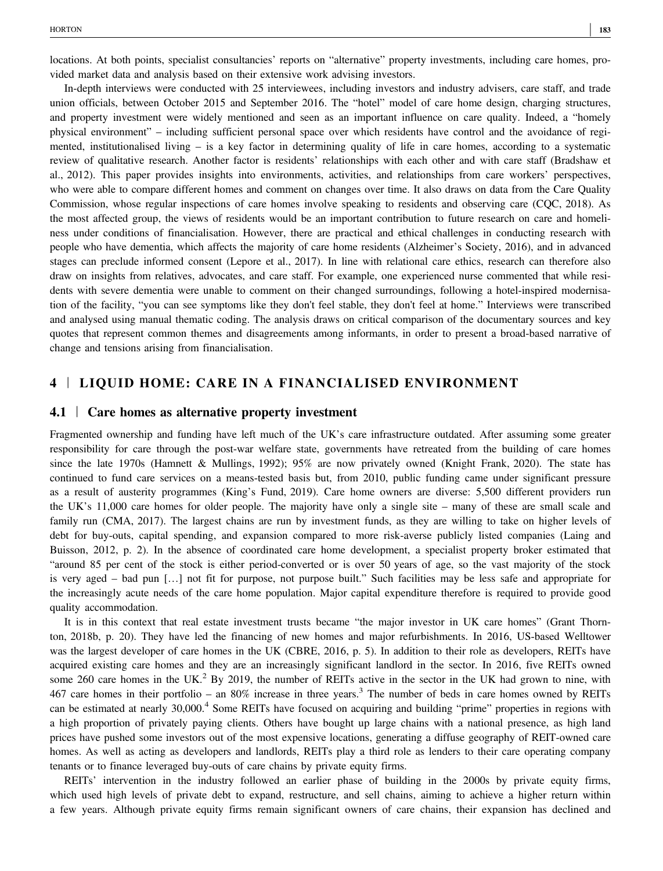locations. At both points, specialist consultancies' reports on "alternative" property investments, including care homes, provided market data and analysis based on their extensive work advising investors.

In‐depth interviews were conducted with 25 interviewees, including investors and industry advisers, care staff, and trade union officials, between October 2015 and September 2016. The "hotel" model of care home design, charging structures, and property investment were widely mentioned and seen as an important influence on care quality. Indeed, a "homely physical environment" – including sufficient personal space over which residents have control and the avoidance of regimented, institutionalised living – is a key factor in determining quality of life in care homes, according to a systematic review of qualitative research. Another factor is residents' relationships with each other and with care staff (Bradshaw et al., 2012). This paper provides insights into environments, activities, and relationships from care workers' perspectives, who were able to compare different homes and comment on changes over time. It also draws on data from the Care Quality Commission, whose regular inspections of care homes involve speaking to residents and observing care (CQC, 2018). As the most affected group, the views of residents would be an important contribution to future research on care and homeliness under conditions of financialisation. However, there are practical and ethical challenges in conducting research with people who have dementia, which affects the majority of care home residents (Alzheimer's Society, 2016), and in advanced stages can preclude informed consent (Lepore et al., 2017). In line with relational care ethics, research can therefore also draw on insights from relatives, advocates, and care staff. For example, one experienced nurse commented that while residents with severe dementia were unable to comment on their changed surroundings, following a hotel-inspired modernisation of the facility, "you can see symptoms like they don't feel stable, they don't feel at home." Interviews were transcribed and analysed using manual thematic coding. The analysis draws on critical comparison of the documentary sources and key quotes that represent common themes and disagreements among informants, in order to present a broad‐based narrative of change and tensions arising from financialisation.

## 4 | LIQUID HOME: CARE IN A FINANCIALISED ENVIRONMENT

#### 4.1 | Care homes as alternative property investment

Fragmented ownership and funding have left much of the UK's care infrastructure outdated. After assuming some greater responsibility for care through the post-war welfare state, governments have retreated from the building of care homes since the late 1970s (Hamnett & Mullings, 1992); 95% are now privately owned (Knight Frank, 2020). The state has continued to fund care services on a means‐tested basis but, from 2010, public funding came under significant pressure as a result of austerity programmes (King's Fund, 2019). Care home owners are diverse: 5,500 different providers run the UK's 11,000 care homes for older people. The majority have only a single site – many of these are small scale and family run (CMA, 2017). The largest chains are run by investment funds, as they are willing to take on higher levels of debt for buy-outs, capital spending, and expansion compared to more risk-averse publicly listed companies (Laing and Buisson, 2012, p. 2). In the absence of coordinated care home development, a specialist property broker estimated that "around 85 per cent of the stock is either period‐converted or is over 50 years of age, so the vast majority of the stock is very aged – bad pun […] not fit for purpose, not purpose built." Such facilities may be less safe and appropriate for the increasingly acute needs of the care home population. Major capital expenditure therefore is required to provide good quality accommodation.

It is in this context that real estate investment trusts became "the major investor in UK care homes" (Grant Thornton, 2018b, p. 20). They have led the financing of new homes and major refurbishments. In 2016, US-based Welltower was the largest developer of care homes in the UK (CBRE, 2016, p. 5). In addition to their role as developers, REITs have acquired existing care homes and they are an increasingly significant landlord in the sector. In 2016, five REITs owned some 260 care homes in the UK.<sup>2</sup> By 2019, the number of REITs active in the sector in the UK had grown to nine, with 467 care homes in their portfolio – an 80% increase in three years.<sup>3</sup> The number of beds in care homes owned by REITs can be estimated at nearly 30,000.<sup>4</sup> Some REITs have focused on acquiring and building "prime" properties in regions with a high proportion of privately paying clients. Others have bought up large chains with a national presence, as high land prices have pushed some investors out of the most expensive locations, generating a diffuse geography of REIT‐owned care homes. As well as acting as developers and landlords, REITs play a third role as lenders to their care operating company tenants or to finance leveraged buy‐outs of care chains by private equity firms.

REITs' intervention in the industry followed an earlier phase of building in the 2000s by private equity firms, which used high levels of private debt to expand, restructure, and sell chains, aiming to achieve a higher return within a few years. Although private equity firms remain significant owners of care chains, their expansion has declined and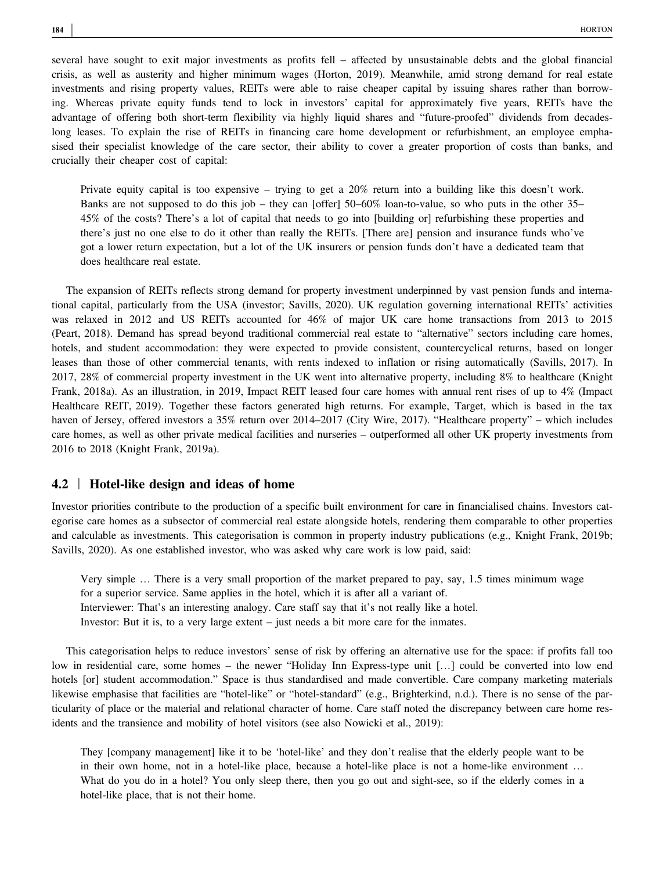several have sought to exit major investments as profits fell – affected by unsustainable debts and the global financial crisis, as well as austerity and higher minimum wages (Horton, 2019). Meanwhile, amid strong demand for real estate investments and rising property values, REITs were able to raise cheaper capital by issuing shares rather than borrowing. Whereas private equity funds tend to lock in investors' capital for approximately five years, REITs have the advantage of offering both short-term flexibility via highly liquid shares and "future-proofed" dividends from decadeslong leases. To explain the rise of REITs in financing care home development or refurbishment, an employee emphasised their specialist knowledge of the care sector, their ability to cover a greater proportion of costs than banks, and crucially their cheaper cost of capital:

Private equity capital is too expensive – trying to get a 20% return into a building like this doesn't work. Banks are not supposed to do this job – they can [offer] 50–60% loan-to-value, so who puts in the other 35– 45% of the costs? There's a lot of capital that needs to go into [building or] refurbishing these properties and there's just no one else to do it other than really the REITs. [There are] pension and insurance funds who've got a lower return expectation, but a lot of the UK insurers or pension funds don't have a dedicated team that does healthcare real estate.

The expansion of REITs reflects strong demand for property investment underpinned by vast pension funds and international capital, particularly from the USA (investor; Savills, 2020). UK regulation governing international REITs' activities was relaxed in 2012 and US REITs accounted for 46% of major UK care home transactions from 2013 to 2015 (Peart, 2018). Demand has spread beyond traditional commercial real estate to "alternative" sectors including care homes, hotels, and student accommodation: they were expected to provide consistent, countercyclical returns, based on longer leases than those of other commercial tenants, with rents indexed to inflation or rising automatically (Savills, 2017). In 2017, 28% of commercial property investment in the UK went into alternative property, including 8% to healthcare (Knight Frank, 2018a). As an illustration, in 2019, Impact REIT leased four care homes with annual rent rises of up to 4% (Impact Healthcare REIT, 2019). Together these factors generated high returns. For example, Target, which is based in the tax haven of Jersey, offered investors a 35% return over 2014–2017 (City Wire, 2017). "Healthcare property" – which includes care homes, as well as other private medical facilities and nurseries – outperformed all other UK property investments from 2016 to 2018 (Knight Frank, 2019a).

#### 4.2 <sup>|</sup> Hotel‐like design and ideas of home

Investor priorities contribute to the production of a specific built environment for care in financialised chains. Investors categorise care homes as a subsector of commercial real estate alongside hotels, rendering them comparable to other properties and calculable as investments. This categorisation is common in property industry publications (e.g., Knight Frank, 2019b; Savills, 2020). As one established investor, who was asked why care work is low paid, said:

Very simple … There is a very small proportion of the market prepared to pay, say, 1.5 times minimum wage for a superior service. Same applies in the hotel, which it is after all a variant of. Interviewer: That's an interesting analogy. Care staff say that it's not really like a hotel.

Investor: But it is, to a very large extent – just needs a bit more care for the inmates.

This categorisation helps to reduce investors' sense of risk by offering an alternative use for the space: if profits fall too low in residential care, some homes – the newer "Holiday Inn Express-type unit [...] could be converted into low end hotels [or] student accommodation." Space is thus standardised and made convertible. Care company marketing materials likewise emphasise that facilities are "hotel‐like" or "hotel‐standard" (e.g., Brighterkind, n.d.). There is no sense of the particularity of place or the material and relational character of home. Care staff noted the discrepancy between care home residents and the transience and mobility of hotel visitors (see also Nowicki et al., 2019):

They [company management] like it to be 'hotel‐like' and they don't realise that the elderly people want to be in their own home, not in a hotel‐like place, because a hotel‐like place is not a home‐like environment … What do you do in a hotel? You only sleep there, then you go out and sight-see, so if the elderly comes in a hotel-like place, that is not their home.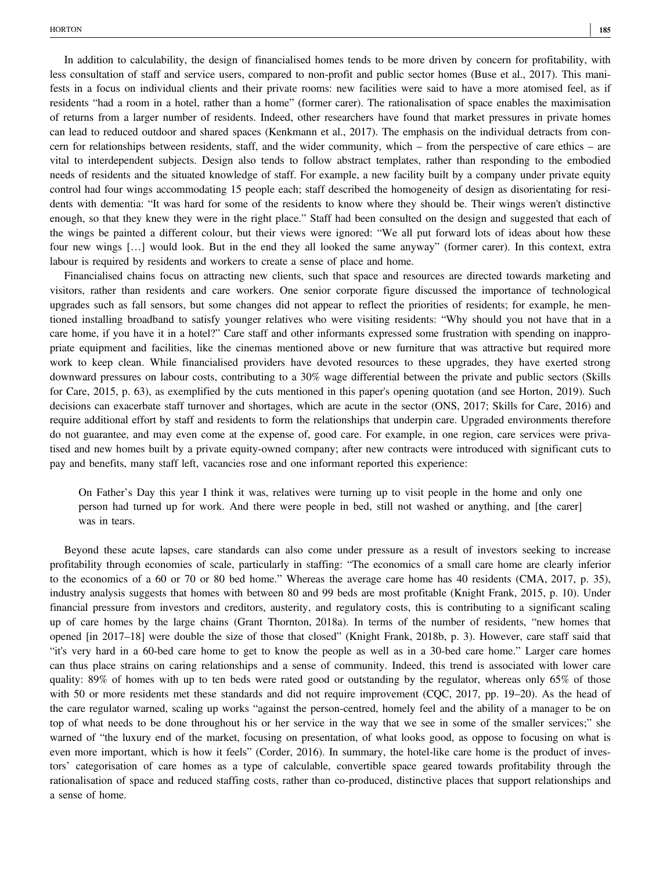In addition to calculability, the design of financialised homes tends to be more driven by concern for profitability, with less consultation of staff and service users, compared to non‐profit and public sector homes (Buse et al., 2017). This manifests in a focus on individual clients and their private rooms: new facilities were said to have a more atomised feel, as if residents "had a room in a hotel, rather than a home" (former carer). The rationalisation of space enables the maximisation of returns from a larger number of residents. Indeed, other researchers have found that market pressures in private homes can lead to reduced outdoor and shared spaces (Kenkmann et al., 2017). The emphasis on the individual detracts from concern for relationships between residents, staff, and the wider community, which – from the perspective of care ethics – are vital to interdependent subjects. Design also tends to follow abstract templates, rather than responding to the embodied needs of residents and the situated knowledge of staff. For example, a new facility built by a company under private equity control had four wings accommodating 15 people each; staff described the homogeneity of design as disorientating for residents with dementia: "It was hard for some of the residents to know where they should be. Their wings weren't distinctive enough, so that they knew they were in the right place." Staff had been consulted on the design and suggested that each of the wings be painted a different colour, but their views were ignored: "We all put forward lots of ideas about how these four new wings […] would look. But in the end they all looked the same anyway" (former carer). In this context, extra labour is required by residents and workers to create a sense of place and home.

Financialised chains focus on attracting new clients, such that space and resources are directed towards marketing and visitors, rather than residents and care workers. One senior corporate figure discussed the importance of technological upgrades such as fall sensors, but some changes did not appear to reflect the priorities of residents; for example, he mentioned installing broadband to satisfy younger relatives who were visiting residents: "Why should you not have that in a care home, if you have it in a hotel?" Care staff and other informants expressed some frustration with spending on inappropriate equipment and facilities, like the cinemas mentioned above or new furniture that was attractive but required more work to keep clean. While financialised providers have devoted resources to these upgrades, they have exerted strong downward pressures on labour costs, contributing to a 30% wage differential between the private and public sectors (Skills for Care, 2015, p. 63), as exemplified by the cuts mentioned in this paper's opening quotation (and see Horton, 2019). Such decisions can exacerbate staff turnover and shortages, which are acute in the sector (ONS, 2017; Skills for Care, 2016) and require additional effort by staff and residents to form the relationships that underpin care. Upgraded environments therefore do not guarantee, and may even come at the expense of, good care. For example, in one region, care services were privatised and new homes built by a private equity‐owned company; after new contracts were introduced with significant cuts to pay and benefits, many staff left, vacancies rose and one informant reported this experience:

On Father's Day this year I think it was, relatives were turning up to visit people in the home and only one person had turned up for work. And there were people in bed, still not washed or anything, and [the carer] was in tears.

Beyond these acute lapses, care standards can also come under pressure as a result of investors seeking to increase profitability through economies of scale, particularly in staffing: "The economics of a small care home are clearly inferior to the economics of a 60 or 70 or 80 bed home." Whereas the average care home has 40 residents (CMA, 2017, p. 35), industry analysis suggests that homes with between 80 and 99 beds are most profitable (Knight Frank, 2015, p. 10). Under financial pressure from investors and creditors, austerity, and regulatory costs, this is contributing to a significant scaling up of care homes by the large chains (Grant Thornton, 2018a). In terms of the number of residents, "new homes that opened [in 2017–18] were double the size of those that closed" (Knight Frank, 2018b, p. 3). However, care staff said that "it's very hard in a 60‐bed care home to get to know the people as well as in a 30‐bed care home." Larger care homes can thus place strains on caring relationships and a sense of community. Indeed, this trend is associated with lower care quality: 89% of homes with up to ten beds were rated good or outstanding by the regulator, whereas only 65% of those with 50 or more residents met these standards and did not require improvement (CQC, 2017, pp. 19–20). As the head of the care regulator warned, scaling up works "against the person‐centred, homely feel and the ability of a manager to be on top of what needs to be done throughout his or her service in the way that we see in some of the smaller services;" she warned of "the luxury end of the market, focusing on presentation, of what looks good, as oppose to focusing on what is even more important, which is how it feels" (Corder, 2016). In summary, the hotel-like care home is the product of investors' categorisation of care homes as a type of calculable, convertible space geared towards profitability through the rationalisation of space and reduced staffing costs, rather than co-produced, distinctive places that support relationships and a sense of home.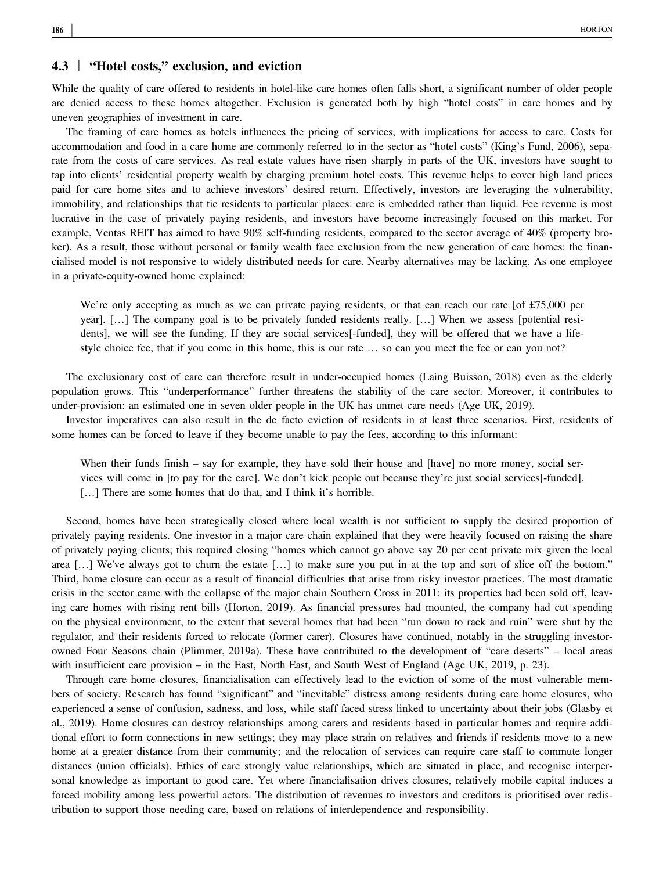# 4.3 <sup>|</sup> "Hotel costs," exclusion, and eviction

While the quality of care offered to residents in hotel-like care homes often falls short, a significant number of older people are denied access to these homes altogether. Exclusion is generated both by high "hotel costs" in care homes and by uneven geographies of investment in care.

The framing of care homes as hotels influences the pricing of services, with implications for access to care. Costs for accommodation and food in a care home are commonly referred to in the sector as "hotel costs" (King's Fund, 2006), separate from the costs of care services. As real estate values have risen sharply in parts of the UK, investors have sought to tap into clients' residential property wealth by charging premium hotel costs. This revenue helps to cover high land prices paid for care home sites and to achieve investors' desired return. Effectively, investors are leveraging the vulnerability, immobility, and relationships that tie residents to particular places: care is embedded rather than liquid. Fee revenue is most lucrative in the case of privately paying residents, and investors have become increasingly focused on this market. For example, Ventas REIT has aimed to have 90% self-funding residents, compared to the sector average of 40% (property broker). As a result, those without personal or family wealth face exclusion from the new generation of care homes: the financialised model is not responsive to widely distributed needs for care. Nearby alternatives may be lacking. As one employee in a private‐equity‐owned home explained:

We're only accepting as much as we can private paying residents, or that can reach our rate [of £75,000 per year]. […] The company goal is to be privately funded residents really. […] When we assess [potential residents], we will see the funding. If they are social services[-funded], they will be offered that we have a lifestyle choice fee, that if you come in this home, this is our rate … so can you meet the fee or can you not?

The exclusionary cost of care can therefore result in under‐occupied homes (Laing Buisson, 2018) even as the elderly population grows. This "underperformance" further threatens the stability of the care sector. Moreover, it contributes to under-provision: an estimated one in seven older people in the UK has unmet care needs (Age UK, 2019).

Investor imperatives can also result in the de facto eviction of residents in at least three scenarios. First, residents of some homes can be forced to leave if they become unable to pay the fees, according to this informant:

When their funds finish – say for example, they have sold their house and [have] no more money, social services will come in [to pay for the care]. We don't kick people out because they're just social services[-funded]. [...] There are some homes that do that, and I think it's horrible.

Second, homes have been strategically closed where local wealth is not sufficient to supply the desired proportion of privately paying residents. One investor in a major care chain explained that they were heavily focused on raising the share of privately paying clients; this required closing "homes which cannot go above say 20 per cent private mix given the local area […] We've always got to churn the estate […] to make sure you put in at the top and sort of slice off the bottom." Third, home closure can occur as a result of financial difficulties that arise from risky investor practices. The most dramatic crisis in the sector came with the collapse of the major chain Southern Cross in 2011: its properties had been sold off, leaving care homes with rising rent bills (Horton, 2019). As financial pressures had mounted, the company had cut spending on the physical environment, to the extent that several homes that had been "run down to rack and ruin" were shut by the regulator, and their residents forced to relocate (former carer). Closures have continued, notably in the struggling investor‐ owned Four Seasons chain (Plimmer, 2019a). These have contributed to the development of "care deserts" – local areas with insufficient care provision – in the East, North East, and South West of England (Age UK, 2019, p. 23).

Through care home closures, financialisation can effectively lead to the eviction of some of the most vulnerable members of society. Research has found "significant" and "inevitable" distress among residents during care home closures, who experienced a sense of confusion, sadness, and loss, while staff faced stress linked to uncertainty about their jobs (Glasby et al., 2019). Home closures can destroy relationships among carers and residents based in particular homes and require additional effort to form connections in new settings; they may place strain on relatives and friends if residents move to a new home at a greater distance from their community; and the relocation of services can require care staff to commute longer distances (union officials). Ethics of care strongly value relationships, which are situated in place, and recognise interpersonal knowledge as important to good care. Yet where financialisation drives closures, relatively mobile capital induces a forced mobility among less powerful actors. The distribution of revenues to investors and creditors is prioritised over redistribution to support those needing care, based on relations of interdependence and responsibility.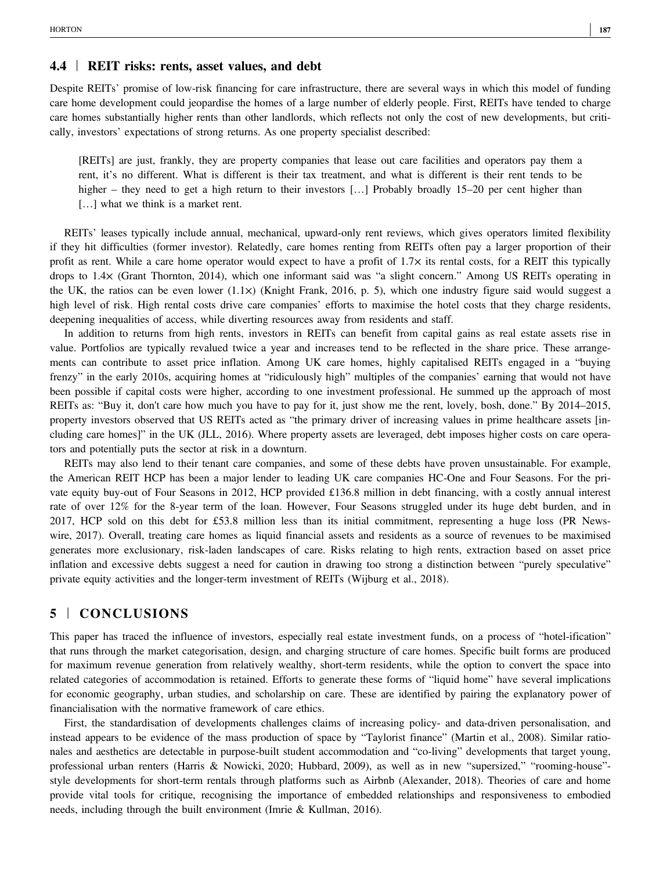#### 4.4 | REIT risks: rents, asset values, and debt

Despite REITs' promise of low‐risk financing for care infrastructure, there are several ways in which this model of funding care home development could jeopardise the homes of a large number of elderly people. First, REITs have tended to charge care homes substantially higher rents than other landlords, which reflects not only the cost of new developments, but critically, investors' expectations of strong returns. As one property specialist described:

[REITs] are just, frankly, they are property companies that lease out care facilities and operators pay them a rent, it's no different. What is different is their tax treatment, and what is different is their rent tends to be higher – they need to get a high return to their investors [...] Probably broadly 15–20 per cent higher than [...] what we think is a market rent.

REITs' leases typically include annual, mechanical, upward‐only rent reviews, which gives operators limited flexibility if they hit difficulties (former investor). Relatedly, care homes renting from REITs often pay a larger proportion of their profit as rent. While a care home operator would expect to have a profit of  $1.7\times$  its rental costs, for a REIT this typically drops to 1.4× (Grant Thornton, 2014), which one informant said was "a slight concern." Among US REITs operating in the UK, the ratios can be even lower (1.1×) (Knight Frank, 2016, p. 5), which one industry figure said would suggest a high level of risk. High rental costs drive care companies' efforts to maximise the hotel costs that they charge residents, deepening inequalities of access, while diverting resources away from residents and staff.

In addition to returns from high rents, investors in REITs can benefit from capital gains as real estate assets rise in value. Portfolios are typically revalued twice a year and increases tend to be reflected in the share price. These arrangements can contribute to asset price inflation. Among UK care homes, highly capitalised REITs engaged in a "buying frenzy" in the early 2010s, acquiring homes at "ridiculously high" multiples of the companies' earning that would not have been possible if capital costs were higher, according to one investment professional. He summed up the approach of most REITs as: "Buy it, don't care how much you have to pay for it, just show me the rent, lovely, bosh, done." By 2014–2015, property investors observed that US REITs acted as "the primary driver of increasing values in prime healthcare assets [including care homes]" in the UK (JLL, 2016). Where property assets are leveraged, debt imposes higher costs on care operators and potentially puts the sector at risk in a downturn.

REITs may also lend to their tenant care companies, and some of these debts have proven unsustainable. For example, the American REIT HCP has been a major lender to leading UK care companies HC‐One and Four Seasons. For the private equity buy-out of Four Seasons in 2012, HCP provided £136.8 million in debt financing, with a costly annual interest rate of over 12% for the 8‐year term of the loan. However, Four Seasons struggled under its huge debt burden, and in 2017, HCP sold on this debt for £53.8 million less than its initial commitment, representing a huge loss (PR Newswire, 2017). Overall, treating care homes as liquid financial assets and residents as a source of revenues to be maximised generates more exclusionary, risk‐laden landscapes of care. Risks relating to high rents, extraction based on asset price inflation and excessive debts suggest a need for caution in drawing too strong a distinction between "purely speculative" private equity activities and the longer‐term investment of REITs (Wijburg et al., 2018).

# 5 | CONCLUSIONS

This paper has traced the influence of investors, especially real estate investment funds, on a process of "hotel-ification" that runs through the market categorisation, design, and charging structure of care homes. Specific built forms are produced for maximum revenue generation from relatively wealthy, short-term residents, while the option to convert the space into related categories of accommodation is retained. Efforts to generate these forms of "liquid home" have several implications for economic geography, urban studies, and scholarship on care. These are identified by pairing the explanatory power of financialisation with the normative framework of care ethics.

First, the standardisation of developments challenges claims of increasing policy- and data-driven personalisation, and instead appears to be evidence of the mass production of space by "Taylorist finance" (Martin et al., 2008). Similar rationales and aesthetics are detectable in purpose-built student accommodation and "co-living" developments that target young, professional urban renters (Harris & Nowicki, 2020; Hubbard, 2009), as well as in new "supersized," "rooming-house" style developments for short-term rentals through platforms such as Airbnb (Alexander, 2018). Theories of care and home provide vital tools for critique, recognising the importance of embedded relationships and responsiveness to embodied needs, including through the built environment (Imrie & Kullman, 2016).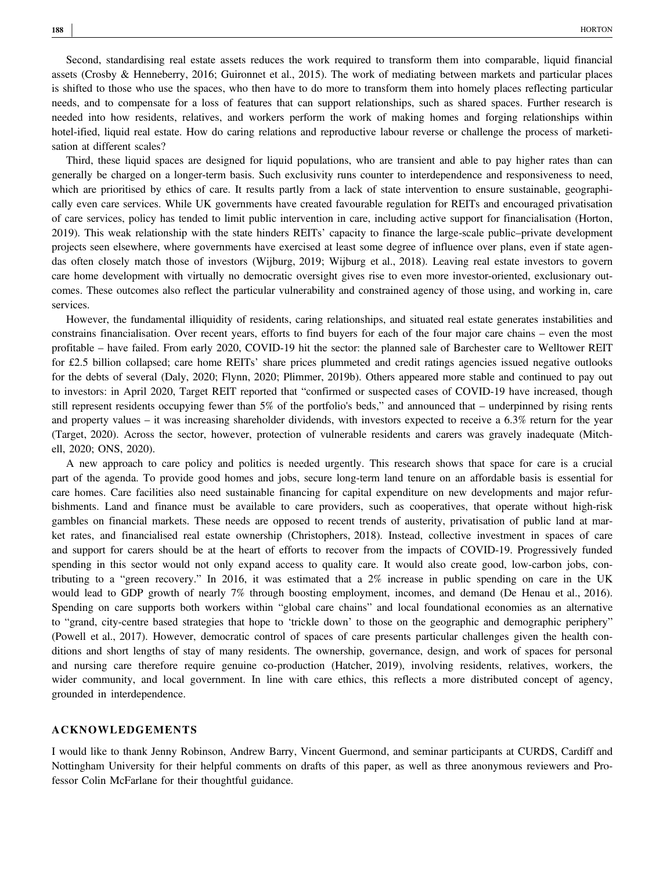Second, standardising real estate assets reduces the work required to transform them into comparable, liquid financial assets (Crosby & Henneberry, 2016; Guironnet et al., 2015). The work of mediating between markets and particular places is shifted to those who use the spaces, who then have to do more to transform them into homely places reflecting particular needs, and to compensate for a loss of features that can support relationships, such as shared spaces. Further research is needed into how residents, relatives, and workers perform the work of making homes and forging relationships within hotel-ified, liquid real estate. How do caring relations and reproductive labour reverse or challenge the process of marketisation at different scales?

Third, these liquid spaces are designed for liquid populations, who are transient and able to pay higher rates than can generally be charged on a longer-term basis. Such exclusivity runs counter to interdependence and responsiveness to need, which are prioritised by ethics of care. It results partly from a lack of state intervention to ensure sustainable, geographically even care services. While UK governments have created favourable regulation for REITs and encouraged privatisation of care services, policy has tended to limit public intervention in care, including active support for financialisation (Horton, 2019). This weak relationship with the state hinders REITs' capacity to finance the large‐scale public–private development projects seen elsewhere, where governments have exercised at least some degree of influence over plans, even if state agendas often closely match those of investors (Wijburg, 2019; Wijburg et al., 2018). Leaving real estate investors to govern care home development with virtually no democratic oversight gives rise to even more investor-oriented, exclusionary outcomes. These outcomes also reflect the particular vulnerability and constrained agency of those using, and working in, care services.

However, the fundamental illiquidity of residents, caring relationships, and situated real estate generates instabilities and constrains financialisation. Over recent years, efforts to find buyers for each of the four major care chains – even the most profitable – have failed. From early 2020, COVID‐19 hit the sector: the planned sale of Barchester care to Welltower REIT for £2.5 billion collapsed; care home REITs' share prices plummeted and credit ratings agencies issued negative outlooks for the debts of several (Daly, 2020; Flynn, 2020; Plimmer, 2019b). Others appeared more stable and continued to pay out to investors: in April 2020, Target REIT reported that "confirmed or suspected cases of COVID‐19 have increased, though still represent residents occupying fewer than 5% of the portfolio's beds," and announced that – underpinned by rising rents and property values – it was increasing shareholder dividends, with investors expected to receive a 6.3% return for the year (Target, 2020). Across the sector, however, protection of vulnerable residents and carers was gravely inadequate (Mitchell, 2020; ONS, 2020).

A new approach to care policy and politics is needed urgently. This research shows that space for care is a crucial part of the agenda. To provide good homes and jobs, secure long‐term land tenure on an affordable basis is essential for care homes. Care facilities also need sustainable financing for capital expenditure on new developments and major refurbishments. Land and finance must be available to care providers, such as cooperatives, that operate without high-risk gambles on financial markets. These needs are opposed to recent trends of austerity, privatisation of public land at market rates, and financialised real estate ownership (Christophers, 2018). Instead, collective investment in spaces of care and support for carers should be at the heart of efforts to recover from the impacts of COVID‐19. Progressively funded spending in this sector would not only expand access to quality care. It would also create good, low-carbon jobs, contributing to a "green recovery." In 2016, it was estimated that a 2% increase in public spending on care in the UK would lead to GDP growth of nearly 7% through boosting employment, incomes, and demand (De Henau et al., 2016). Spending on care supports both workers within "global care chains" and local foundational economies as an alternative to "grand, city-centre based strategies that hope to 'trickle down' to those on the geographic and demographic periphery" (Powell et al., 2017). However, democratic control of spaces of care presents particular challenges given the health conditions and short lengths of stay of many residents. The ownership, governance, design, and work of spaces for personal and nursing care therefore require genuine co-production (Hatcher, 2019), involving residents, relatives, workers, the wider community, and local government. In line with care ethics, this reflects a more distributed concept of agency, grounded in interdependence.

#### ACKNOWLEDGEMENTS

I would like to thank Jenny Robinson, Andrew Barry, Vincent Guermond, and seminar participants at CURDS, Cardiff and Nottingham University for their helpful comments on drafts of this paper, as well as three anonymous reviewers and Professor Colin McFarlane for their thoughtful guidance.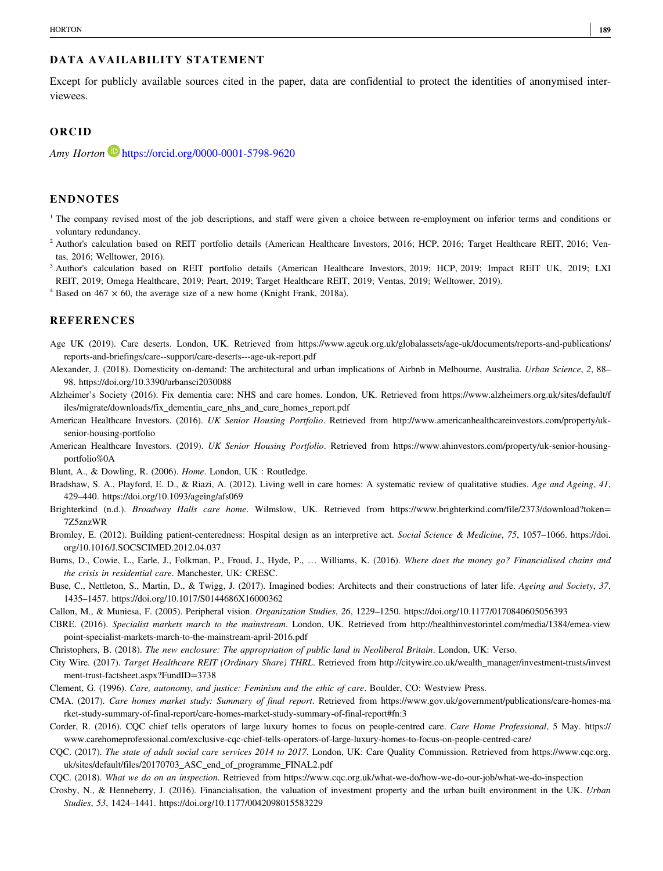#### DATA AVAILABILITY STATEMENT

Except for publicly available sources cited in the paper, data are confidential to protect the identities of anonymised interviewees.

## ORCID

Amy Horton https://orcid.org/0000-0001-5798-9620

#### ENDNOTES

- <sup>1</sup> The company revised most of the job descriptions, and staff were given a choice between re-employment on inferior terms and conditions or voluntary redundancy.
- <sup>2</sup> Author's calculation based on REIT portfolio details (American Healthcare Investors, 2016; HCP, 2016; Target Healthcare REIT, 2016; Ventas, 2016; Welltower, 2016).
- <sup>3</sup> Author's calculation based on REIT portfolio details (American Healthcare Investors, 2019; HCP, 2019; Impact REIT UK, 2019; LXI REIT, 2019; Omega Healthcare, 2019; Peart, 2019; Target Healthcare REIT, 2019; Ventas, 2019; Welltower, 2019).

 $4$  Based on 467  $\times$  60, the average size of a new home (Knight Frank, 2018a).

#### REFERENCES

- Age UK (2019). Care deserts. London, UK. Retrieved from [https://www.ageuk.org.uk/globalassets/age](https://www.ageuk.org.uk/globalassets/age-uk/documents/reports-and-publications/reports-and-briefings/care--support/care-deserts---age-uk-report.pdf)-uk/documents/reports-and-publications/ reports‐and‐[briefings/care](https://www.ageuk.org.uk/globalassets/age-uk/documents/reports-and-publications/reports-and-briefings/care--support/care-deserts---age-uk-report.pdf)‐‐support/care‐deserts‐‐‐age‐uk‐report.pdf
- Alexander, J. (2018). Domesticity on-demand: The architectural and urban implications of Airbnb in Melbourne, Australia. Urban Science, 2, 88– 98.<https://doi.org/10.3390/urbansci2030088>
- Alzheimer's Society (2016). Fix dementia care: NHS and care homes. London, UK. Retrieved from [https://www.alzheimers.org.uk/sites/default/f](https://www.alzheimers.org.uk/sites/default/files/migrate/downloads/fix_dementia_care_nhs_and_care_homes_report.pdf) [iles/migrate/downloads/fix\\_dementia\\_care\\_nhs\\_and\\_care\\_homes\\_report.pdf](https://www.alzheimers.org.uk/sites/default/files/migrate/downloads/fix_dementia_care_nhs_and_care_homes_report.pdf)
- American Healthcare Investors. (2016). UK Senior Housing Portfolio. Retrieved from [http://www.americanhealthcareinvestors.com/property/uk](http://www.americanhealthcareinvestors.com/property/uk-senior-housing-portfolio)senior‐housing‐[portfolio](http://www.americanhealthcareinvestors.com/property/uk-senior-housing-portfolio)
- American Healthcare Investors. (2019). UK Senior Housing Portfolio. Retrieved from [https://www.ahinvestors.com/property/uk](https://www.ahinvestors.com/property/uk-senior-housing-portfolio%250A)-senior-housing[portfolio%0A](https://www.ahinvestors.com/property/uk-senior-housing-portfolio%250A)
- Blunt, A., & Dowling, R. (2006). Home. London, UK : Routledge.
- Bradshaw, S. A., Playford, E. D., & Riazi, A. (2012). Living well in care homes: A systematic review of qualitative studies. Age and Ageing, 41, 429–440.<https://doi.org/10.1093/ageing/afs069>
- Brighterkind (n.d.). Broadway Halls care home. Wilmslow, UK. Retrieved from [https://www.brighterkind.com/file/2373/download?token=](https://www.brighterkind.com/file/2373/download?token=7Z5znzWR) [7Z5znzWR](https://www.brighterkind.com/file/2373/download?token=7Z5znzWR)
- Bromley, E. (2012). Building patient-centeredness: Hospital design as an interpretive act. Social Science & Medicine, 75, 1057-1066. [https://doi.](https://doi.org/10.1016/J.SOCSCIMED.2012.04.037) [org/10.1016/J.SOCSCIMED.2012.04.037](https://doi.org/10.1016/J.SOCSCIMED.2012.04.037)
- Burns, D., Cowie, L., Earle, J., Folkman, P., Froud, J., Hyde, P., ... Williams, K. (2016). Where does the money go? Financialised chains and the crisis in residential care. Manchester, UK: CRESC.
- Buse, C., Nettleton, S., Martin, D., & Twigg, J. (2017). Imagined bodies: Architects and their constructions of later life. Ageing and Society, 37, 1435–1457.<https://doi.org/10.1017/S0144686X16000362>
- Callon, M., & Muniesa, F. (2005). Peripheral vision. Organization Studies, 26, 1229–1250.<https://doi.org/10.1177/0170840605056393>
- CBRE. (2016). Specialist markets march to the mainstream. London, UK. Retrieved from [http://healthinvestorintel.com/media/1384/emea](http://healthinvestorintel.com/media/1384/emea-viewpoint-specialist-markets-march-to-the-mainstream-april-2016.pdf)‐view point‐specialist‐markets‐march‐to‐the‐[mainstream](http://healthinvestorintel.com/media/1384/emea-viewpoint-specialist-markets-march-to-the-mainstream-april-2016.pdf)‐april‐2016.pdf
- Christophers, B. (2018). The new enclosure: The appropriation of public land in Neoliberal Britain. London, UK: Verso.
- City Wire. (2017). Target Healthcare REIT (Ordinary Share) THRL. Retrieved from [http://citywire.co.uk/wealth\\_manager/investment](http://citywire.co.uk/wealth_manager/investment-trusts/investment-trust-factsheet.aspx?FundID=3738)-trusts/invest ment‐trust‐[factsheet.aspx?FundID=3738](http://citywire.co.uk/wealth_manager/investment-trusts/investment-trust-factsheet.aspx?FundID=3738)
- Clement, G. (1996). Care, autonomy, and justice: Feminism and the ethic of care. Boulder, CO: Westview Press.
- CMA. (2017). Care homes market study: Summary of final report. Retrieved from [https://www.gov.uk/government/publications/care](https://www.gov.uk/government/publications/care-homes-market-study-summary-of-final-report/care-homes-market-study-summary-of-final-report#fn:3)-homes-ma rket‐study‐summary‐of‐final‐report/care‐homes‐market‐study‐summary‐of‐final‐[report#fn:3](https://www.gov.uk/government/publications/care-homes-market-study-summary-of-final-report/care-homes-market-study-summary-of-final-report#fn:3)
- Corder, R. (2016). CQC chief tells operators of large luxury homes to focus on people-centred care. Care Home Professional, 5 May. [https://](https://www.carehomeprofessional.com/exclusive-cqc-chief-tells-operators-of-large-luxury-homes-to-focus-on-people-centred-care/) [www.carehomeprofessional.com/exclusive](https://www.carehomeprofessional.com/exclusive-cqc-chief-tells-operators-of-large-luxury-homes-to-focus-on-people-centred-care/)-cqc-chief-tells-operators-of-large-luxury-homes-to-focus-on-people-centred-care/
- CQC. (2017). The state of adult social care services 2014 to 2017. London, UK: Care Quality Commission. Retrieved from [https://www.cqc.org.](https://www.cqc.org.uk/sites/default/files/20170703_ASC_end_of_programme_FINAL2.pdf) [uk/sites/default/files/20170703\\_ASC\\_end\\_of\\_programme\\_FINAL2.pdf](https://www.cqc.org.uk/sites/default/files/20170703_ASC_end_of_programme_FINAL2.pdf)
- CQC. (2018). What we do on an inspection. Retrieved from [https://www.cqc.org.uk/what](https://www.cqc.org.uk/what-we-do/how-we-do-our-job/what-we-do-inspection)-we-do/how-we-do-our-job/what-we-do-inspection
- Crosby, N., & Henneberry, J. (2016). Financialisation, the valuation of investment property and the urban built environment in the UK. Urban Studies, 53, 1424–1441.<https://doi.org/10.1177/0042098015583229>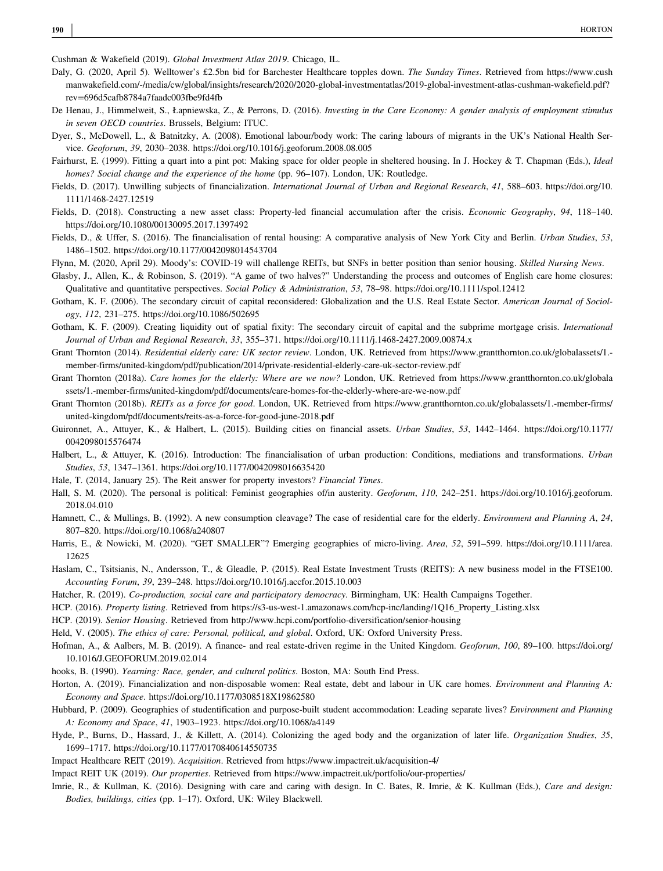Cushman & Wakefield (2019). Global Investment Atlas 2019. Chicago, IL.

- Daly, G. (2020, April 5). Welltower's £2.5bn bid for Barchester Healthcare topples down. The Sunday Times. Retrieved from [https://www.cush](https://www.cushmanwakefield.com/-/media/cw/global/insights/research/2020/2020-global-investmentatlas/2019-global-investment-atlas-cushman-wakefield.pdf?rev=696d5cafb8784a7faadc003fbe9fd4fb) manwakefield.com/‐[/media/cw/global/insights/research/2020/2020](https://www.cushmanwakefield.com/-/media/cw/global/insights/research/2020/2020-global-investmentatlas/2019-global-investment-atlas-cushman-wakefield.pdf?rev=696d5cafb8784a7faadc003fbe9fd4fb)‐global‐investmentatlas/2019‐global‐investment‐atlas‐cushman‐wakefield.pdf? [rev=696d5cafb8784a7faadc003fbe9fd4fb](https://www.cushmanwakefield.com/-/media/cw/global/insights/research/2020/2020-global-investmentatlas/2019-global-investment-atlas-cushman-wakefield.pdf?rev=696d5cafb8784a7faadc003fbe9fd4fb)
- De Henau, J., Himmelweit, S., Łapniewska, Z., & Perrons, D. (2016). Investing in the Care Economy: A gender analysis of employment stimulus in seven OECD countries. Brussels, Belgium: ITUC.
- Dyer, S., McDowell, L., & Batnitzky, A. (2008). Emotional labour/body work: The caring labours of migrants in the UK's National Health Service. Geoforum, 39, 2030–2038.<https://doi.org/10.1016/j.geoforum.2008.08.005>
- Fairhurst, E. (1999). Fitting a quart into a pint pot: Making space for older people in sheltered housing. In J. Hockey & T. Chapman (Eds.), Ideal homes? Social change and the experience of the home (pp. 96–107). London, UK: Routledge.
- Fields, D. (2017). Unwilling subjects of financialization. International Journal of Urban and Regional Research, 41, 588–603. [https://doi.org/10.](https://doi.org/10.1111/1468-2427.12519) 1111/1468‐[2427.12519](https://doi.org/10.1111/1468-2427.12519)
- Fields, D. (2018). Constructing a new asset class: Property-led financial accumulation after the crisis. Economic Geography, 94, 118–140. <https://doi.org/10.1080/00130095.2017.1397492>
- Fields, D., & Uffer, S. (2016). The financialisation of rental housing: A comparative analysis of New York City and Berlin. Urban Studies, 53, 1486–1502.<https://doi.org/10.1177/0042098014543704>
- Flynn, M. (2020, April 29). Moody's: COVID-19 will challenge REITs, but SNFs in better position than senior housing. Skilled Nursing News.
- Glasby, J., Allen, K., & Robinson, S. (2019). "A game of two halves?" Understanding the process and outcomes of English care home closures: Qualitative and quantitative perspectives. Social Policy & Administration, 53, 78–98.<https://doi.org/10.1111/spol.12412>
- Gotham, K. F. (2006). The secondary circuit of capital reconsidered: Globalization and the U.S. Real Estate Sector. American Journal of Sociology, 112, 231–275.<https://doi.org/10.1086/502695>
- Gotham, K. F. (2009). Creating liquidity out of spatial fixity: The secondary circuit of capital and the subprime mortgage crisis. International Journal of Urban and Regional Research, 33, 355–371. [https://doi.org/10.1111/j.1468](https://doi.org/10.1111/j.1468-2427.2009.00874.x)‐2427.2009.00874.x
- Grant Thornton (2014). Residential elderly care: UK sector review. London, UK. Retrieved from [https://www.grantthornton.co.uk/globalassets/1.](https://www.grantthornton.co.uk/globalassets/1.-member-firms/united-kingdom/pdf/publication/2014/private-residential-elderly-care-uk-sector-review.pdf)member-firms/united-[kingdom/pdf/publication/2014/private](https://www.grantthornton.co.uk/globalassets/1.-member-firms/united-kingdom/pdf/publication/2014/private-residential-elderly-care-uk-sector-review.pdf)-residential-elderly-care-uk-sector-review.pdf
- Grant Thornton (2018a). Care homes for the elderly: Where are we now? London, UK. Retrieved from [https://www.grantthornton.co.uk/globala](https://www.grantthornton.co.uk/globalassets/1.-member-firms/united-kingdom/pdf/documents/care-homes-for-the-elderly-where-are-we-now.pdf) ssets/1.-member-firms/united-[kingdom/pdf/documents/care](https://www.grantthornton.co.uk/globalassets/1.-member-firms/united-kingdom/pdf/documents/care-homes-for-the-elderly-where-are-we-now.pdf)-homes-for-the-elderly-where-are-we-now.pdf

Grant Thornton (2018b). REITs as a force for good. London, UK. Retrieved from [https://www.grantthornton.co.uk/globalassets/1.](https://www.grantthornton.co.uk/globalassets/1.-member-firms/united-kingdom/pdf/documents/reits-as-a-force-for-good-june-2018.pdf)-member-firms/ united‐[kingdom/pdf/documents/reits](https://www.grantthornton.co.uk/globalassets/1.-member-firms/united-kingdom/pdf/documents/reits-as-a-force-for-good-june-2018.pdf)‐as‐a‐force‐for‐good‐june‐2018.pdf

- Guironnet, A., Attuyer, K., & Halbert, L. (2015). Building cities on financial assets. Urban Studies, 53, 1442–1464. [https://doi.org/10.1177/](https://doi.org/10.1177/0042098015576474) [0042098015576474](https://doi.org/10.1177/0042098015576474)
- Halbert, L., & Attuyer, K. (2016). Introduction: The financialisation of urban production: Conditions, mediations and transformations. *Urban* Studies, 53, 1347–1361.<https://doi.org/10.1177/0042098016635420>
- Hale, T. (2014, January 25). The Reit answer for property investors? Financial Times.
- Hall, S. M. (2020). The personal is political: Feminist geographies of/in austerity. Geoforum, 110, 242-251. [https://doi.org/10.1016/j.geoforum.](https://doi.org/10.1016/j.geoforum.2018.04.010) [2018.04.010](https://doi.org/10.1016/j.geoforum.2018.04.010)
- Hamnett, C., & Mullings, B. (1992). A new consumption cleavage? The case of residential care for the elderly. *Environment and Planning A, 24,* 807–820.<https://doi.org/10.1068/a240807>
- Harris, E., & Nowicki, M. (2020). "GET SMALLER"? Emerging geographies of micro-living. Area, 52, 591-599. [https://doi.org/10.1111/area.](https://doi.org/10.1111/area.12625) [12625](https://doi.org/10.1111/area.12625)
- Haslam, C., Tsitsianis, N., Andersson, T., & Gleadle, P. (2015). Real Estate Investment Trusts (REITS): A new business model in the FTSE100. Accounting Forum, 39, 239–248.<https://doi.org/10.1016/j.accfor.2015.10.003>
- Hatcher, R. (2019). Co-production, social care and participatory democracy. Birmingham, UK: Health Campaigns Together.
- HCP. (2016). Property listing. Retrieved from https://s3-us-west-1.amazonaws.com/hcp-[inc/landing/1Q16\\_Property\\_Listing.xlsx](https://s3-us-west-1.amazonaws.com/hcp-inc/landing/1Q16_Property_Listing.xlsx)
- HCP. (2019). Senior Housing. Retrieved from [http://www.hcpi.com/portfolio](http://www.hcpi.com/portfolio-diversification/senior-housing)-diversification/senior-housing
- Held, V. (2005). The ethics of care: Personal, political, and global. Oxford, UK: Oxford University Press.
- Hofman, A., & Aalbers, M. B. (2019). A finance- and real estate-driven regime in the United Kingdom. Geoforum, 100, 89-100. [https://doi.org/](https://doi.org/10.1016/J.GEOFORUM.2019.02.014) [10.1016/J.GEOFORUM.2019.02.014](https://doi.org/10.1016/J.GEOFORUM.2019.02.014)
- hooks, B. (1990). Yearning: Race, gender, and cultural politics. Boston, MA: South End Press.
- Horton, A. (2019). Financialization and non-disposable women: Real estate, debt and labour in UK care homes. Environment and Planning A: Economy and Space.<https://doi.org/10.1177/0308518X19862580>
- Hubbard, P. (2009). Geographies of studentification and purpose-built student accommodation: Leading separate lives? Environment and Planning A: Economy and Space, 41, 1903–1923.<https://doi.org/10.1068/a4149>
- Hyde, P., Burns, D., Hassard, J., & Killett, A. (2014). Colonizing the aged body and the organization of later life. Organization Studies, 35, 1699–1717.<https://doi.org/10.1177/0170840614550735>
- Impact Healthcare REIT (2019). Acquisition. Retrieved from [https://www.impactreit.uk/acquisition](https://www.impactreit.uk/acquisition-4/)‐4/
- Impact REIT UK (2019). Our properties. Retrieved from [https://www.impactreit.uk/portfolio/our](https://www.impactreit.uk/portfolio/our-properties/)‐properties/
- Imrie, R., & Kullman, K. (2016). Designing with care and caring with design. In C. Bates, R. Imrie, & K. Kullman (Eds.), Care and design. Bodies, buildings, cities (pp. 1–17). Oxford, UK: Wiley Blackwell.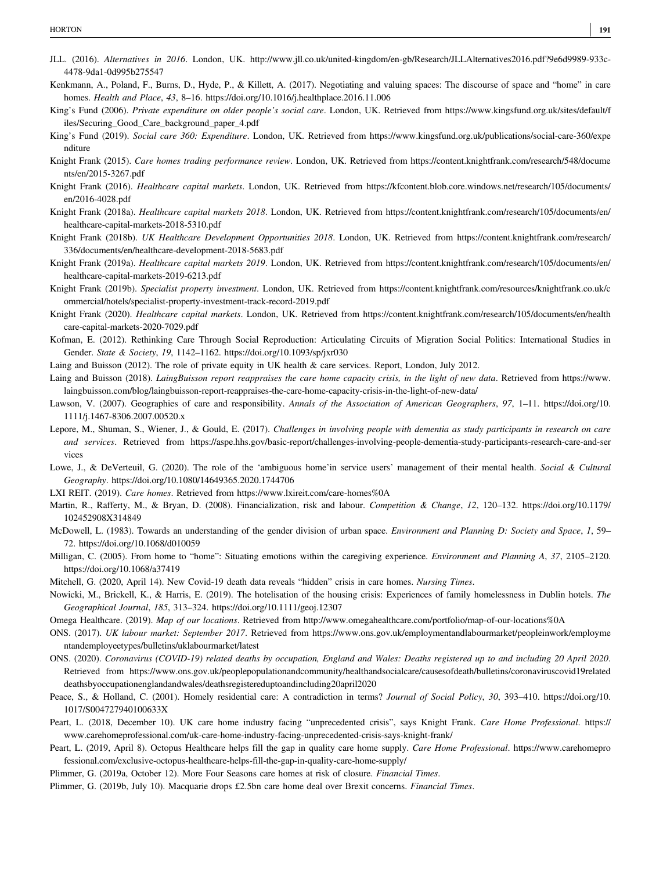- JLL. (2016). Alternatives in 2016. London, UK. http://www.jll.co.uk/united-kingdom/en-[gb/Research/JLLAlternatives2016.pdf?9e6d9989](http://www.jll.co.uk/united-kingdom/en-gb/Research/JLLAlternatives2016.pdf?9e6d9989-933c-4478-9da1-0d995b275547)-933c-4478‐9da1‐[0d995b275547](http://www.jll.co.uk/united-kingdom/en-gb/Research/JLLAlternatives2016.pdf?9e6d9989-933c-4478-9da1-0d995b275547)
- Kenkmann, A., Poland, F., Burns, D., Hyde, P., & Killett, A. (2017). Negotiating and valuing spaces: The discourse of space and "home" in care homes. Health and Place, 43, 8–16.<https://doi.org/10.1016/j.healthplace.2016.11.006>
- King's Fund (2006). Private expenditure on older people's social care. London, UK. Retrieved from [https://www.kingsfund.org.uk/sites/default/f](https://www.kingsfund.org.uk/sites/default/files/Securing_Good_Care_background_paper_4.pdf) [iles/Securing\\_Good\\_Care\\_background\\_paper\\_4.pdf](https://www.kingsfund.org.uk/sites/default/files/Securing_Good_Care_background_paper_4.pdf)
- King's Fund (2019). Social care 360: Expenditure. London, UK. Retrieved from [https://www.kingsfund.org.uk/publications/social](https://www.kingsfund.org.uk/publications/social-care-360/expenditure)-care-360/expe [nditure](https://www.kingsfund.org.uk/publications/social-care-360/expenditure)
- Knight Frank (2015). Care homes trading performance review. London, UK. Retrieved from [https://content.knightfrank.com/research/548/docume](https://content.knightfrank.com/research/548/documents/en/2015-3267.pdf) [nts/en/2015](https://content.knightfrank.com/research/548/documents/en/2015-3267.pdf)‐3267.pdf
- Knight Frank (2016). Healthcare capital markets. London, UK. Retrieved from [https://kfcontent.blob.core.windows.net/research/105/documents/](https://kfcontent.blob.core.windows.net/research/105/documents/en/2016-4028.pdf) en/2016‐[4028.pdf](https://kfcontent.blob.core.windows.net/research/105/documents/en/2016-4028.pdf)
- Knight Frank (2018a). Healthcare capital markets 2018. London, UK. Retrieved from [https://content.knightfrank.com/research/105/documents/en/](https://content.knightfrank.com/research/105/documents/en/healthcare-capital-markets-2018-5310.pdf) [healthcare](https://content.knightfrank.com/research/105/documents/en/healthcare-capital-markets-2018-5310.pdf)‐capital‐markets‐2018‐5310.pdf
- Knight Frank (2018b). UK Healthcare Development Opportunities 2018. London, UK. Retrieved from [https://content.knightfrank.com/research/](https://content.knightfrank.com/research/336/documents/en/healthcare-development-2018-5683.pdf) [336/documents/en/healthcare](https://content.knightfrank.com/research/336/documents/en/healthcare-development-2018-5683.pdf)‐development‐2018‐5683.pdf
- Knight Frank (2019a). Healthcare capital markets 2019. London, UK. Retrieved from [https://content.knightfrank.com/research/105/documents/en/](https://content.knightfrank.com/research/105/documents/en/healthcare-capital-markets-2019-6213.pdf) [healthcare](https://content.knightfrank.com/research/105/documents/en/healthcare-capital-markets-2019-6213.pdf)‐capital‐markets‐2019‐6213.pdf
- Knight Frank (2019b). Specialist property investment. London, UK. Retrieved from [https://content.knightfrank.com/resources/knightfrank.co.uk/c](https://content.knightfrank.com/resources/knightfrank.co.uk/commercial/hotels/specialist-property-investment-track-record-2019.pdf) [ommercial/hotels/specialist](https://content.knightfrank.com/resources/knightfrank.co.uk/commercial/hotels/specialist-property-investment-track-record-2019.pdf)‐property‐investment‐track‐record‐2019.pdf
- Knight Frank (2020). Healthcare capital markets. London, UK. Retrieved from [https://content.knightfrank.com/research/105/documents/en/health](https://content.knightfrank.com/research/105/documents/en/healthcare-capital-markets-2020-7029.pdf) care‐capital‐markets‐2020‐[7029.pdf](https://content.knightfrank.com/research/105/documents/en/healthcare-capital-markets-2020-7029.pdf)
- Kofman, E. (2012). Rethinking Care Through Social Reproduction: Articulating Circuits of Migration Social Politics: International Studies in Gender. State & Society, 19, 1142–1162.<https://doi.org/10.1093/sp/jxr030>
- Laing and Buisson (2012). The role of private equity in UK health & care services. Report, London, July 2012.
- Laing and Buisson (2018). LaingBuisson report reappraises the care home capacity crisis, in the light of new data. Retrieved from [https://www.](https://www.laingbuisson.com/blog/laingbuisson-report-reappraises-the-care-home-capacity-crisis-in-the-light-of-new-data/) [laingbuisson.com/blog/laingbuisson](https://www.laingbuisson.com/blog/laingbuisson-report-reappraises-the-care-home-capacity-crisis-in-the-light-of-new-data/)‐report‐reappraises‐the‐care‐home‐capacity‐crisis‐in‐the‐light‐of‐new‐data/
- Lawson, V. (2007). Geographies of care and responsibility. Annals of the Association of American Geographers, 97, 1–11. [https://doi.org/10.](https://doi.org/10.1111/j.1467-8306.2007.00520.x) 1111/j.1467‐[8306.2007.00520.x](https://doi.org/10.1111/j.1467-8306.2007.00520.x)
- Lepore, M., Shuman, S., Wiener, J., & Gould, E. (2017). Challenges in involving people with dementia as study participants in research on care and services. Retrieved from [https://aspe.hhs.gov/basic](https://aspe.hhs.gov/basic-report/challenges-involving-people-dementia-study-participants-research-care-and-services)-report/challenges-involving-people-dementia-study-participants-research-care-and-ser [vices](https://aspe.hhs.gov/basic-report/challenges-involving-people-dementia-study-participants-research-care-and-services)
- Lowe, J., & DeVerteuil, G. (2020). The role of the 'ambiguous home'in service users' management of their mental health. Social & Cultural Geography.<https://doi.org/10.1080/14649365.2020.1744706>
- LXI REIT. (2019). Care homes. Retrieved from [https://www.lxireit.com/care](https://www.lxireit.com/care-homes%250A)-homes%0A
- Martin, R., Rafferty, M., & Bryan, D. (2008). Financialization, risk and labour. Competition & Change, 12, 120–132. [https://doi.org/10.1179/](https://doi.org/10.1179/102452908X314849) [102452908X314849](https://doi.org/10.1179/102452908X314849)
- McDowell, L. (1983). Towards an understanding of the gender division of urban space. *Environment and Planning D: Society and Space*, 1, 59– 72.<https://doi.org/10.1068/d010059>
- Milligan, C. (2005). From home to "home": Situating emotions within the caregiving experience. Environment and Planning A, 37, 2105–2120. <https://doi.org/10.1068/a37419>
- Mitchell, G. (2020, April 14). New Covid‐19 death data reveals "hidden" crisis in care homes. Nursing Times.
- Nowicki, M., Brickell, K., & Harris, E. (2019). The hotelisation of the housing crisis: Experiences of family homelessness in Dublin hotels. The Geographical Journal, 185, 313–324.<https://doi.org/10.1111/geoj.12307>
- Omega Healthcare. (2019). Map of our locations. Retrieved from [http://www.omegahealthcare.com/portfolio/map](http://www.omegahealthcare.com/portfolio/map-of-our-locations%250A)-of-our-locations%0A
- ONS. (2017). UK labour market: September 2017. Retrieved from [https://www.ons.gov.uk/employmentandlabourmarket/peopleinwork/employme](https://www.ons.gov.uk/employmentandlabourmarket/peopleinwork/employmentandemployeetypes/bulletins/uklabourmarket/latest) [ntandemployeetypes/bulletins/uklabourmarket/latest](https://www.ons.gov.uk/employmentandlabourmarket/peopleinwork/employmentandemployeetypes/bulletins/uklabourmarket/latest)
- ONS. (2020). Coronavirus (COVID‐19) related deaths by occupation, England and Wales: Deaths registered up to and including 20 April 2020. Retrieved from [https://www.ons.gov.uk/peoplepopulationandcommunity/healthandsocialcare/causesofdeath/bulletins/coronaviruscovid19related](https://www.ons.gov.uk/peoplepopulationandcommunity/healthandsocialcare/causesofdeath/bulletins/coronaviruscovid19relateddeathsbyoccupationenglandandwales/deathsregistereduptoandincluding20april2020) [deathsbyoccupationenglandandwales/deathsregistereduptoandincluding20april2020](https://www.ons.gov.uk/peoplepopulationandcommunity/healthandsocialcare/causesofdeath/bulletins/coronaviruscovid19relateddeathsbyoccupationenglandandwales/deathsregistereduptoandincluding20april2020)
- Peace, S., & Holland, C. (2001). Homely residential care: A contradiction in terms? Journal of Social Policy, 30, 393-410. [https://doi.org/10.](https://doi.org/10.1017/S004727940100633X) [1017/S004727940100633X](https://doi.org/10.1017/S004727940100633X)
- Peart, L. (2018, December 10). UK care home industry facing "unprecedented crisis", says Knight Frank. Care Home Professional. [https://](https://www.carehomeprofessional.com/uk-care-home-industry-facing-unprecedented-crisis-says-knight-frank/) [www.carehomeprofessional.com/uk](https://www.carehomeprofessional.com/uk-care-home-industry-facing-unprecedented-crisis-says-knight-frank/)‐care‐home‐industry‐facing‐unprecedented‐crisis‐says‐knight‐frank/
- Peart, L. (2019, April 8). Octopus Healthcare helps fill the gap in quality care home supply. Care Home Professional. [https://www.carehomepro](https://www.carehomeprofessional.com/exclusive-octopus-healthcare-helps-fill-the-gap-in-quality-care-home-supply/) [fessional.com/exclusive](https://www.carehomeprofessional.com/exclusive-octopus-healthcare-helps-fill-the-gap-in-quality-care-home-supply/)‐octopus‐healthcare‐helps‐fill‐the‐gap‐in‐quality‐care‐home‐supply/
- Plimmer, G. (2019a, October 12). More Four Seasons care homes at risk of closure. Financial Times.
- Plimmer, G. (2019b, July 10). Macquarie drops £2.5bn care home deal over Brexit concerns. Financial Times.